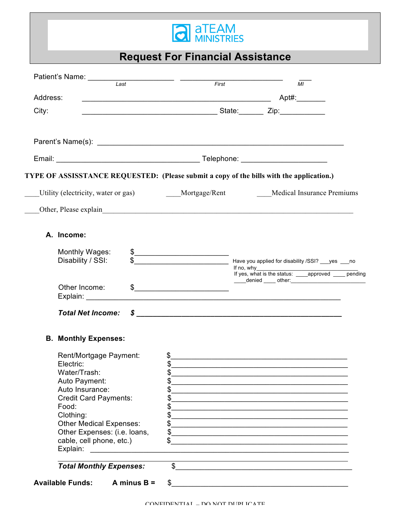

**Request For Financial Assistance**

|                                                                                                                                                                                                                                                         | First<br>MI                                                                                                                                                                                                                                                                                                                                                                                                                   |
|---------------------------------------------------------------------------------------------------------------------------------------------------------------------------------------------------------------------------------------------------------|-------------------------------------------------------------------------------------------------------------------------------------------------------------------------------------------------------------------------------------------------------------------------------------------------------------------------------------------------------------------------------------------------------------------------------|
| Address:                                                                                                                                                                                                                                                |                                                                                                                                                                                                                                                                                                                                                                                                                               |
| City:                                                                                                                                                                                                                                                   |                                                                                                                                                                                                                                                                                                                                                                                                                               |
|                                                                                                                                                                                                                                                         |                                                                                                                                                                                                                                                                                                                                                                                                                               |
|                                                                                                                                                                                                                                                         |                                                                                                                                                                                                                                                                                                                                                                                                                               |
|                                                                                                                                                                                                                                                         | TYPE OF ASSISSTANCE REQUESTED: (Please submit a copy of the bills with the application.)                                                                                                                                                                                                                                                                                                                                      |
|                                                                                                                                                                                                                                                         | Utility (electricity, water or gas) Mortgage/Rent Medical Insurance Premiums                                                                                                                                                                                                                                                                                                                                                  |
|                                                                                                                                                                                                                                                         |                                                                                                                                                                                                                                                                                                                                                                                                                               |
| A. Income:                                                                                                                                                                                                                                              |                                                                                                                                                                                                                                                                                                                                                                                                                               |
| Monthly Wages:<br>Disability / SSI:                                                                                                                                                                                                                     | $\frac{1}{2}$<br>\$                                                                                                                                                                                                                                                                                                                                                                                                           |
| Other Income:                                                                                                                                                                                                                                           | _____denied _____ other:______________________________<br>$\begin{picture}(20,10) \put(0,0){\vector(1,0){100}} \put(15,0){\vector(1,0){100}} \put(15,0){\vector(1,0){100}} \put(15,0){\vector(1,0){100}} \put(15,0){\vector(1,0){100}} \put(15,0){\vector(1,0){100}} \put(15,0){\vector(1,0){100}} \put(15,0){\vector(1,0){100}} \put(15,0){\vector(1,0){100}} \put(15,0){\vector(1,0){100}} \put(15,0){\vector(1,0){100}} \$ |
| <b>Total Net Income:</b>                                                                                                                                                                                                                                | $\pmb{\quad \  \  \, \text{\bf 5}}$ , which is a constraint of the constraint of the constraint $\pmb{\quad \  \  \, \text{\bf 6}}$                                                                                                                                                                                                                                                                                           |
| <b>B. Monthly Expenses:</b>                                                                                                                                                                                                                             |                                                                                                                                                                                                                                                                                                                                                                                                                               |
| Rent/Mortgage Payment:<br>Electric:<br>Water/Trash:<br>Auto Payment:<br>Auto Insurance:<br><b>Credit Card Payments:</b><br>Food:<br>Clothing:<br><b>Other Medical Expenses:</b><br>Other Expenses: (i.e. loans,<br>cable, cell phone, etc.)<br>Explain: | \$_<br><u> 1989 - Johann Stoff, deutscher Stoffen und der Stoffen und der Stoffen und der Stoffen und der Stoffen und der</u><br>\$<br>\$<br>\$<br>\$<br>\$<br>\$<br>\$<br>\$<br>\$<br><u> 1989 - Johann John Stoff, deutscher Stoffen und der Stoffen und der Stoffen und der Stoffen und der Stoffen u</u><br>\$<br><u> 1980 - John Alexandri, fizikar matematikar (h. 1980).</u>                                           |
| <b>Total Monthly Expenses:</b>                                                                                                                                                                                                                          | $\mathsf{\$}$                                                                                                                                                                                                                                                                                                                                                                                                                 |
| <b>Available Funds:</b><br>A minus $B =$                                                                                                                                                                                                                | $\mathsf{\$}$                                                                                                                                                                                                                                                                                                                                                                                                                 |